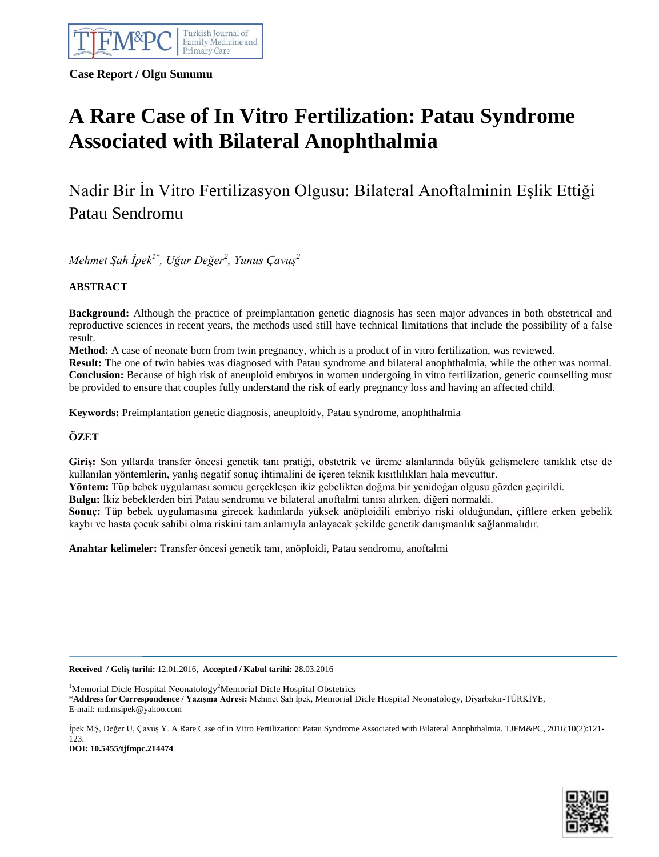

**Case Report / Olgu Sunumu**

# **A Rare Case of In Vitro Fertilization: Patau Syndrome Associated with Bilateral Anophthalmia**

Nadir Bir İn Vitro Fertilizasyon Olgusu: Bilateral Anoftalminin Eşlik Ettiği Patau Sendromu

*Mehmet Şah İpek1\* , Uğur Değer<sup>2</sup> , Yunus Çavuş<sup>2</sup>*

# **ABSTRACT**

**Background:** Although the practice of preimplantation genetic diagnosis has seen major advances in both obstetrical and reproductive sciences in recent years, the methods used still have technical limitations that include the possibility of a false result.

**Method:** A case of neonate born from twin pregnancy, which is a product of in vitro fertilization, was reviewed.

**Result:** The one of twin babies was diagnosed with Patau syndrome and bilateral anophthalmia, while the other was normal. **Conclusion:** Because of high risk of aneuploid embryos in women undergoing in vitro fertilization, genetic counselling must be provided to ensure that couples fully understand the risk of early pregnancy loss and having an affected child.

**Keywords:** Preimplantation genetic diagnosis, aneuploidy, Patau syndrome, anophthalmia

# **ÖZET**

**Giriş:** Son yıllarda transfer öncesi genetik tanı pratiği, obstetrik ve üreme alanlarında büyük gelişmelere tanıklık etse de kullanılan yöntemlerin, yanlış negatif sonuç ihtimalini de içeren teknik kısıtlılıkları hala mevcuttur.

**Yöntem:** Tüp bebek uygulaması sonucu gerçekleşen ikiz gebelikten doğma bir yenidoğan olgusu gözden geçirildi.

**Bulgu:** İkiz bebeklerden biri Patau sendromu ve bilateral anoftalmi tanısı alırken, diğeri normaldi.

**Sonuç:** Tüp bebek uygulamasına girecek kadınlarda yüksek anöploidili embriyo riski olduğundan, çiftlere erken gebelik kaybı ve hasta çocuk sahibi olma riskini tam anlamıyla anlayacak şekilde genetik danışmanlık sağlanmalıdır.

**Anahtar kelimeler:** Transfer öncesi genetik tanı, anöploidi, Patau sendromu, anoftalmi

**Received / Geliş tarihi:** 12.01.2016, **Accepted / Kabul tarihi:** 28.03.2016

<sup>1</sup>Memorial Dicle Hospital Neonatology<sup>2</sup>Memorial Dicle Hospital Obstetrics \***Address for Correspondence / Yazışma Adresi:** Mehmet Şah İpek, Memorial Dicle Hospital Neonatology, Diyarbakır-TÜRKİYE, E-mail: md.msipek@yahoo.com

İpek MŞ, Değer U, Çavuş Y. A Rare Case of in Vitro Fertilization: Patau Syndrome Associated with Bilateral Anophthalmia. TJFM&PC, 2016;10(2):121- 123.

**DOI: 10.5455/tjfmpc.214474**

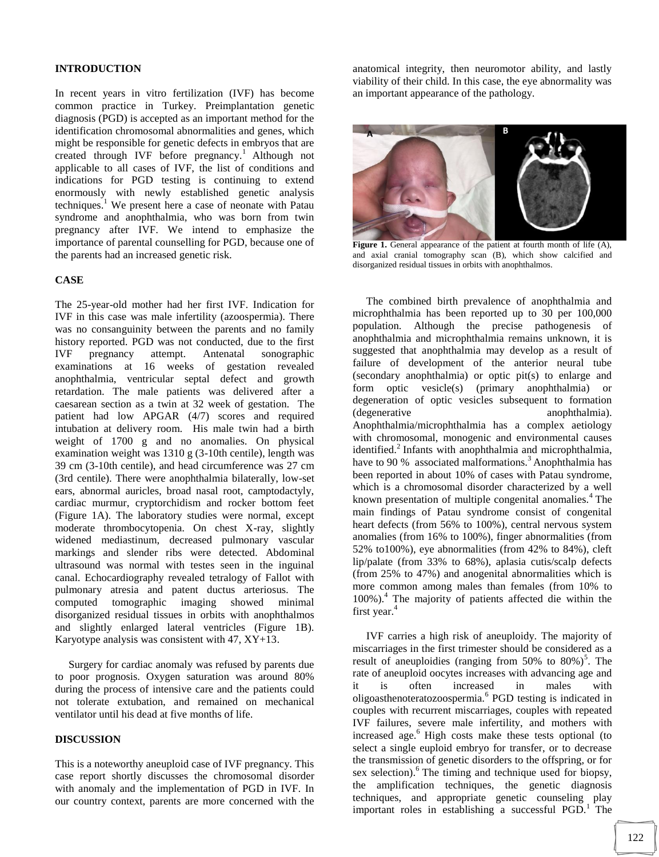#### **INTRODUCTION**

In recent years in vitro fertilization (IVF) has become common practice in Turkey. Preimplantation genetic diagnosis (PGD) is accepted as an important method for the identification chromosomal abnormalities and genes, which might be responsible for genetic defects in embryos that are created through IVF before pregnancy.<sup>1</sup> Although not applicable to all cases of IVF, the list of conditions and indications for PGD testing is continuing to extend enormously with newly established genetic analysis techniques.<sup>1</sup> We present here a case of neonate with Patau syndrome and anophthalmia, who was born from twin pregnancy after IVF. We intend to emphasize the importance of parental counselling for PGD, because one of the parents had an increased genetic risk.

## **CASE**

The 25-year-old mother had her first IVF. Indication for IVF in this case was male infertility (azoospermia). There was no consanguinity between the parents and no family history reported. PGD was not conducted, due to the first IVF pregnancy attempt. Antenatal sonographic examinations at 16 weeks of gestation revealed anophthalmia, ventricular septal defect and growth retardation. The male patients was delivered after a caesarean section as a twin at 32 week of gestation. The patient had low APGAR (4/7) scores and required intubation at delivery room. His male twin had a birth weight of 1700 g and no anomalies. On physical examination weight was 1310 g (3-10th centile), length was 39 cm (3-10th centile), and head circumference was 27 cm (3rd centile). There were anophthalmia bilaterally, low-set ears, abnormal auricles, broad nasal root, camptodactyly, cardiac murmur, cryptorchidism and rocker bottom feet (Figure 1A). The laboratory studies were normal, except moderate thrombocytopenia. On chest X-ray, slightly widened mediastinum, decreased pulmonary vascular markings and slender ribs were detected. Abdominal ultrasound was normal with testes seen in the inguinal canal. Echocardiography revealed tetralogy of Fallot with pulmonary atresia and patent ductus arteriosus. The computed tomographic imaging showed minimal disorganized residual tissues in orbits with anophthalmos and slightly enlarged lateral ventricles (Figure 1B). Karyotype analysis was consistent with 47, XY+13.

 Surgery for cardiac anomaly was refused by parents due to poor prognosis. Oxygen saturation was around 80% during the process of intensive care and the patients could not tolerate extubation, and remained on mechanical ventilator until his dead at five months of life.

#### **DISCUSSION**

This is a noteworthy aneuploid case of IVF pregnancy. This case report shortly discusses the chromosomal disorder with anomaly and the implementation of PGD in IVF. In our country context, parents are more concerned with the

anatomical integrity, then neuromotor ability, and lastly viability of their child. In this case, the eye abnormality was an important appearance of the pathology.



Figure 1. General appearance of the patient at fourth month of life (A), and axial cranial tomography scan (B), which show calcified and disorganized residual tissues in orbits with anophthalmos.

 The combined birth prevalence of anophthalmia and microphthalmia has been reported up to 30 per 100,000 population. Although the precise pathogenesis of anophthalmia and microphthalmia remains unknown, it is suggested that anophthalmia may develop as a result of failure of development of the anterior neural tube (secondary anophthalmia) or optic pit(s) to enlarge and form optic vesicle(s) (primary anophthalmia) or degeneration of optic vesicles subsequent to formation (degenerative anophthalmia). anophthalmia). Anophthalmia/microphthalmia has a complex aetiology with chromosomal, monogenic and environmental causes identified. $^{2}$  Infants with anophthalmia and microphthalmia, have to 90 % associated malformations.<sup>3</sup> Anophthalmia has been reported in about 10% of cases with Patau syndrome, which is a chromosomal disorder characterized by a well known presentation of multiple congenital anomalies.<sup>4</sup> The main findings of Patau syndrome consist of congenital heart defects (from 56% to 100%), central nervous system anomalies (from 16% to 100%), finger abnormalities (from 52% to100%), eye abnormalities (from 42% to 84%), cleft lip/palate (from 33% to 68%), aplasia cutis/scalp defects (from 25% to 47%) and anogenital abnormalities which is more common among males than females (from 10% to 100%).<sup>4</sup> The majority of patients affected die within the first year.<sup>4</sup>

 IVF carries a high risk of aneuploidy. The majority of miscarriages in the first trimester should be considered as a result of aneuploidies (ranging from  $50\%$  to  $80\%$ )<sup>5</sup>. The rate of aneuploid oocytes increases with advancing age and it is often increased in males with oligoasthenoteratozoospermia.<sup>6</sup> PGD testing is indicated in couples with recurrent miscarriages, couples with repeated IVF failures, severe male infertility, and mothers with increased age. $<sup>6</sup>$  High costs make these tests optional (to</sup> select a single euploid embryo for transfer, or to decrease the transmission of genetic disorders to the offspring, or for sex selection).<sup>6</sup> The timing and technique used for biopsy, the amplification techniques, the genetic diagnosis techniques, and appropriate genetic counseling play important roles in establishing a successful PGD.<sup>1</sup> The